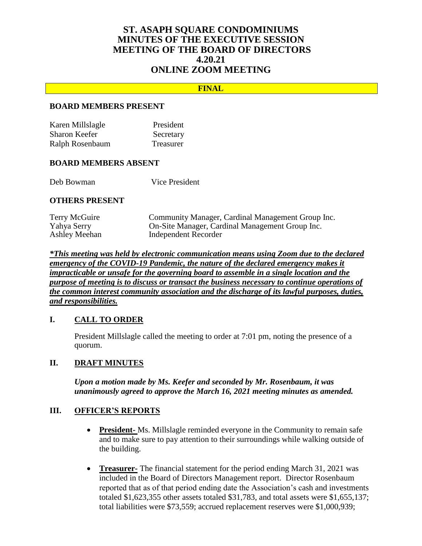# **ST. ASAPH SQUARE CONDOMINIUMS MINUTES OF THE EXECUTIVE SESSION MEETING OF THE BOARD OF DIRECTORS 4.20.21 ONLINE ZOOM MEETING**

### **FINAL**

#### **BOARD MEMBERS PRESENT**

| Karen Millslagle | President |
|------------------|-----------|
| Sharon Keefer    | Secretary |
| Ralph Rosenbaum  | Treasurer |

#### **BOARD MEMBERS ABSENT**

Deb Bowman Vice President

#### **OTHERS PRESENT**

| Terry McGuire | Community Manager, Cardinal Management Group Inc. |
|---------------|---------------------------------------------------|
| Yahya Serry   | On-Site Manager, Cardinal Management Group Inc.   |
| Ashley Meehan | Independent Recorder                              |

*\*This meeting was held by electronic communication means using Zoom due to the declared emergency of the COVID-19 Pandemic, the nature of the declared emergency makes it impracticable or unsafe for the governing board to assemble in a single location and the purpose of meeting is to discuss or transact the business necessary to continue operations of the common interest community association and the discharge of its lawful purposes, duties, and responsibilities.*

### **I. CALL TO ORDER**

President Millslagle called the meeting to order at 7:01 pm, noting the presence of a quorum.

### **II. DRAFT MINUTES**

*Upon a motion made by Ms. Keefer and seconded by Mr. Rosenbaum, it was unanimously agreed to approve the March 16, 2021 meeting minutes as amended.*

### **III. OFFICER'S REPORTS**

- **President-** Ms. Millslagle reminded everyone in the Community to remain safe and to make sure to pay attention to their surroundings while walking outside of the building.
- **Treasurer-** The financial statement for the period ending March 31, 2021 was included in the Board of Directors Management report. Director Rosenbaum reported that as of that period ending date the Association's cash and investments totaled \$1,623,355 other assets totaled \$31,783, and total assets were \$1,655,137; total liabilities were \$73,559; accrued replacement reserves were \$1,000,939;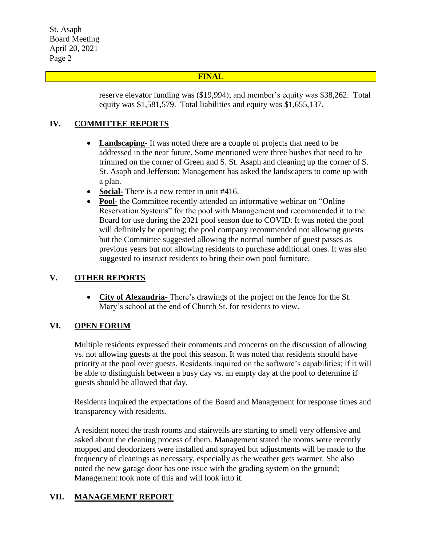St. Asaph Board Meeting April 20, 2021 Page 2

### **FINAL**

reserve elevator funding was (\$19,994); and member's equity was \$38,262. Total equity was \$1,581,579. Total liabilities and equity was \$1,655,137.

## **IV. COMMITTEE REPORTS**

- **Landscaping-** It was noted there are a couple of projects that need to be addressed in the near future. Some mentioned were three bushes that need to be trimmed on the corner of Green and S. St. Asaph and cleaning up the corner of S. St. Asaph and Jefferson; Management has asked the landscapers to come up with a plan.
- **Social-** There is a new renter in unit #416.
- Pool- the Committee recently attended an informative webinar on "Online" Reservation Systems" for the pool with Management and recommended it to the Board for use during the 2021 pool season due to COVID. It was noted the pool will definitely be opening; the pool company recommended not allowing guests but the Committee suggested allowing the normal number of guest passes as previous years but not allowing residents to purchase additional ones. It was also suggested to instruct residents to bring their own pool furniture.

# **V. OTHER REPORTS**

 **City of Alexandria-** There's drawings of the project on the fence for the St. Mary's school at the end of Church St. for residents to view.

## **VI. OPEN FORUM**

Multiple residents expressed their comments and concerns on the discussion of allowing vs. not allowing guests at the pool this season. It was noted that residents should have priority at the pool over guests. Residents inquired on the software's capabilities; if it will be able to distinguish between a busy day vs. an empty day at the pool to determine if guests should be allowed that day.

Residents inquired the expectations of the Board and Management for response times and transparency with residents.

A resident noted the trash rooms and stairwells are starting to smell very offensive and asked about the cleaning process of them. Management stated the rooms were recently mopped and deodorizers were installed and sprayed but adjustments will be made to the frequency of cleanings as necessary, especially as the weather gets warmer. She also noted the new garage door has one issue with the grading system on the ground; Management took note of this and will look into it.

# **VII. MANAGEMENT REPORT**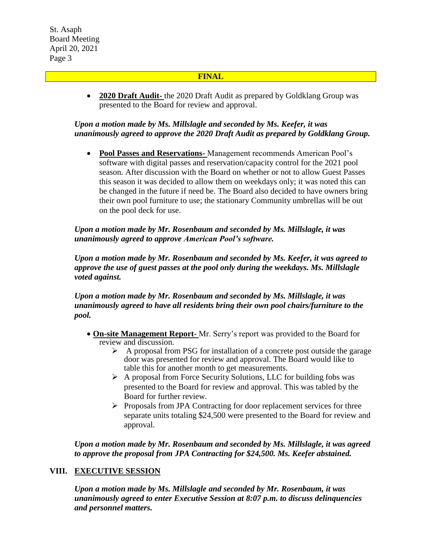St. Asaph Board Meeting April 20, 2021 Page 3

### **FINAL**

 **2020 Draft Audit-** the 2020 Draft Audit as prepared by Goldklang Group was presented to the Board for review and approval.

## *Upon a motion made by Ms. Millslagle and seconded by Ms. Keefer, it was unanimously agreed to approve the 2020 Draft Audit as prepared by Goldklang Group.*

 **Pool Passes and Reservations-** Management recommends American Pool's software with digital passes and reservation/capacity control for the 2021 pool season. After discussion with the Board on whether or not to allow Guest Passes this season it was decided to allow them on weekdays only; it was noted this can be changed in the future if need be. The Board also decided to have owners bring their own pool furniture to use; the stationary Community umbrellas will be out on the pool deck for use.

*Upon a motion made by Mr. Rosenbaum and seconded by Ms. Millslagle, it was unanimously agreed to approve American Pool's software.*

*Upon a motion made by Mr. Rosenbaum and seconded by Ms. Keefer, it was agreed to approve the use of guest passes at the pool only during the weekdays. Ms. Millslagle voted against.*

*Upon a motion made by Mr. Rosenbaum and seconded by Ms. Millslagle, it was unanimously agreed to have all residents bring their own pool chairs/furniture to the pool.*

- **On-site Management Report-** Mr. Serry's report was provided to the Board for review and discussion.
	- $\triangleright$  A proposal from PSG for installation of a concrete post outside the garage door was presented for review and approval. The Board would like to table this for another month to get measurements.
	- $\triangleright$  A proposal from Force Security Solutions, LLC for building fobs was presented to the Board for review and approval. This was tabled by the Board for further review.
	- $\triangleright$  Proposals from JPA Contracting for door replacement services for three separate units totaling \$24,500 were presented to the Board for review and approval.

*Upon a motion made by Mr. Rosenbaum and seconded by Ms. Millslagle, it was agreed to approve the proposal from JPA Contracting for \$24,500. Ms. Keefer abstained.*

### **VIII. EXECUTIVE SESSION**

*Upon a motion made by Ms. Millslagle and seconded by Mr. Rosenbaum, it was unanimously agreed to enter Executive Session at 8:07 p.m. to discuss delinquencies and personnel matters.*